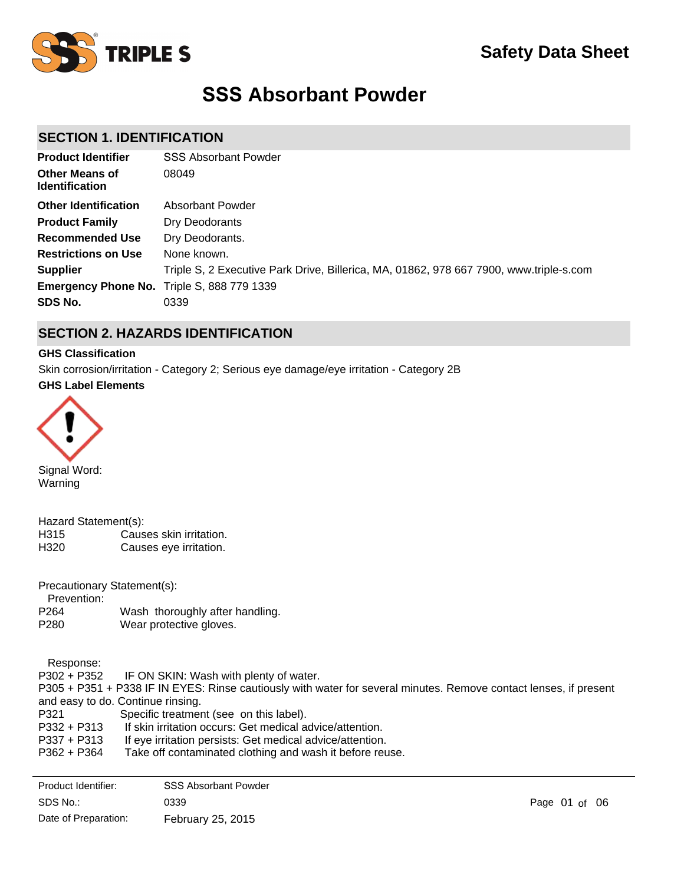

# **SSS Absorbant Powder**

# **SECTION 1. IDENTIFICATION**

| <b>Product Identifier</b>                         | <b>SSS Absorbant Powder</b>                                                            |
|---------------------------------------------------|----------------------------------------------------------------------------------------|
| <b>Other Means of</b><br><b>Identification</b>    | 08049                                                                                  |
| <b>Other Identification</b>                       | Absorbant Powder                                                                       |
| <b>Product Family</b>                             | Dry Deodorants                                                                         |
| <b>Recommended Use</b>                            | Dry Deodorants.                                                                        |
| <b>Restrictions on Use</b>                        | None known.                                                                            |
| <b>Supplier</b>                                   | Triple S, 2 Executive Park Drive, Billerica, MA, 01862, 978 667 7900, www.triple-s.com |
| <b>Emergency Phone No.</b> Triple S, 888 779 1339 |                                                                                        |
| SDS No.                                           | 0339                                                                                   |

# **SECTION 2. HAZARDS IDENTIFICATION**

## **GHS Classification**

Skin corrosion/irritation - Category 2; Serious eye damage/eye irritation - Category 2B

## **GHS Label Elements**



Signal Word: Warning

| Hazard Statement(s): |                         |
|----------------------|-------------------------|
| H315                 | Causes skin irritation. |
| H320                 | Causes eye irritation.  |

Precautionary Statement(s):

Prevention:

- P264 Wash thoroughly after handling.
- P280 Wear protective gloves.

Response:

P302 + P352 IF ON SKIN: Wash with plenty of water. P305 + P351 + P338 IF IN EYES: Rinse cautiously with water for several minutes. Remove contact lenses, if present and easy to do. Continue rinsing.<br>P321 Specific treatmer Specific treatment (see on this label). P332 + P313 If skin irritation occurs: Get medical advice/attention. P337 + P313 If eye irritation persists: Get medical advice/attention. P362 + P364 Take off contaminated clothing and wash it before reuse.

| Product Identifier:  | <b>SSS Absorbant Powder</b> |               |  |
|----------------------|-----------------------------|---------------|--|
| SDS No.:             | 0339                        | Page 01 of 06 |  |
| Date of Preparation: | February 25, 2015           |               |  |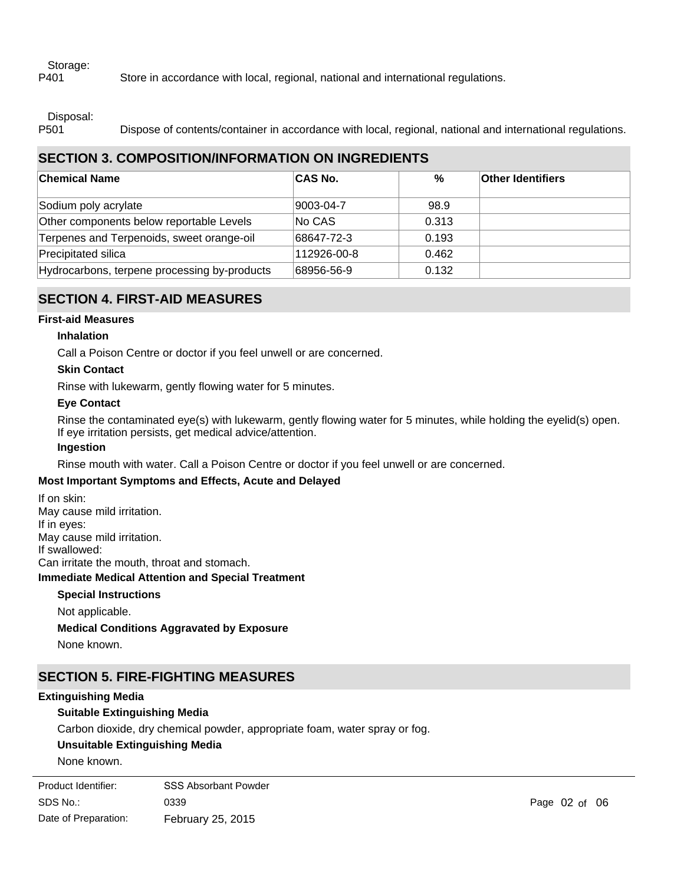## Storage:

P401 Store in accordance with local, regional, national and international regulations.

Disposal:

P501 Dispose of contents/container in accordance with local, regional, national and international regulations.

# **SECTION 3. COMPOSITION/INFORMATION ON INGREDIENTS**

| <b>Chemical Name</b>                         | <b>CAS No.</b> | $\%$  | <b>Other Identifiers</b> |
|----------------------------------------------|----------------|-------|--------------------------|
| Sodium poly acrylate                         | 9003-04-7      | 98.9  |                          |
| Other components below reportable Levels     | No CAS         | 0.313 |                          |
| Terpenes and Terpenoids, sweet orange-oil    | 68647-72-3     | 0.193 |                          |
| Precipitated silica                          | 112926-00-8    | 0.462 |                          |
| Hydrocarbons, terpene processing by-products | 68956-56-9     | 0.132 |                          |

# **SECTION 4. FIRST-AID MEASURES**

## **First-aid Measures**

## **Inhalation**

Call a Poison Centre or doctor if you feel unwell or are concerned.

## **Skin Contact**

Rinse with lukewarm, gently flowing water for 5 minutes.

## **Eye Contact**

Rinse the contaminated eye(s) with lukewarm, gently flowing water for 5 minutes, while holding the eyelid(s) open. If eye irritation persists, get medical advice/attention.

## **Ingestion**

Rinse mouth with water. Call a Poison Centre or doctor if you feel unwell or are concerned.

## **Most Important Symptoms and Effects, Acute and Delayed**

**Immediate Medical Attention and Special Treatment** If on skin: May cause mild irritation. If in eyes: May cause mild irritation. If swallowed: Can irritate the mouth, throat and stomach.

## **Special Instructions**

Not applicable.

**Medical Conditions Aggravated by Exposure**

None known.

# **SECTION 5. FIRE-FIGHTING MEASURES**

## **Extinguishing Media**

## **Suitable Extinguishing Media**

Carbon dioxide, dry chemical powder, appropriate foam, water spray or fog.

## **Unsuitable Extinguishing Media**

None known.

| Product Identifier:  | <b>SSS Absorbant Powder</b> |
|----------------------|-----------------------------|
| SDS No.:             | 0339                        |
| Date of Preparation: | February 25, 2015           |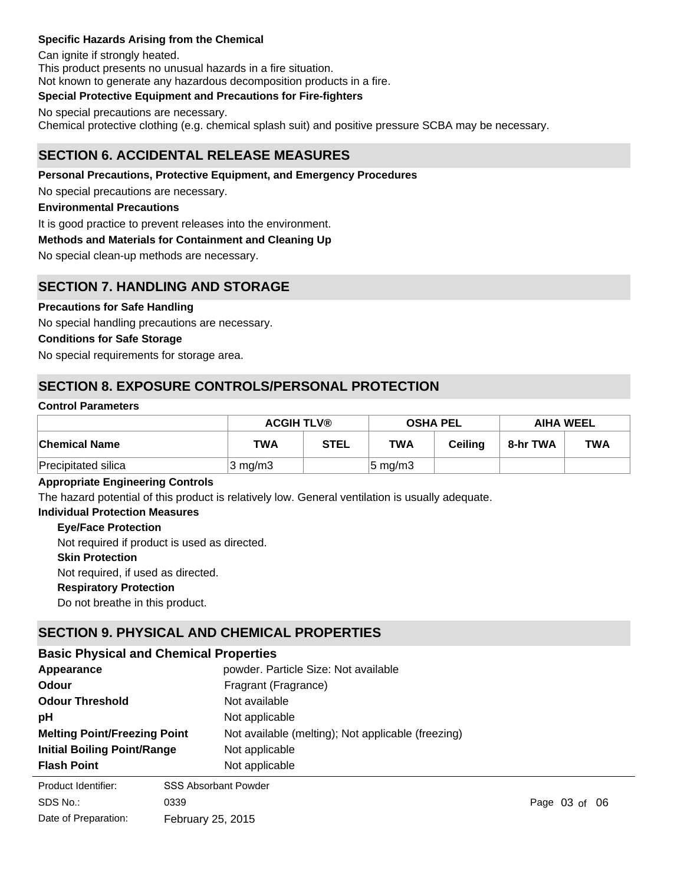## **Specific Hazards Arising from the Chemical**

Can ignite if strongly heated. This product presents no unusual hazards in a fire situation. Not known to generate any hazardous decomposition products in a fire.

## **Special Protective Equipment and Precautions for Fire-fighters**

No special precautions are necessary. Chemical protective clothing (e.g. chemical splash suit) and positive pressure SCBA may be necessary.

## **SECTION 6. ACCIDENTAL RELEASE MEASURES**

## **Personal Precautions, Protective Equipment, and Emergency Procedures**

No special precautions are necessary.

#### **Environmental Precautions**

It is good practice to prevent releases into the environment.

## **Methods and Materials for Containment and Cleaning Up**

No special clean-up methods are necessary.

## **SECTION 7. HANDLING AND STORAGE**

## **Precautions for Safe Handling**

No special handling precautions are necessary.

## **Conditions for Safe Storage**

No special requirements for storage area.

# **SECTION 8. EXPOSURE CONTROLS/PERSONAL PROTECTION**

## **Control Parameters**

|                      | <b>ACGIH TLV®</b> |             | <b>OSHA PEL</b>     |         | <b>AIHA WEEL</b> |            |
|----------------------|-------------------|-------------|---------------------|---------|------------------|------------|
| <b>Chemical Name</b> | <b>TWA</b>        | <b>STEL</b> | <b>TWA</b>          | Ceilina | 8-hr TWA         | <b>TWA</b> |
| Precipitated silica  | $3 \text{ mg/m}$  |             | $ 5 \text{ mg/m}$ 3 |         |                  |            |

## **Appropriate Engineering Controls**

The hazard potential of this product is relatively low. General ventilation is usually adequate.

#### **Individual Protection Measures**

**Eye/Face Protection**

Not required if product is used as directed.

## **Skin Protection**

Not required, if used as directed.

## **Respiratory Protection**

Do not breathe in this product.

# **SECTION 9. PHYSICAL AND CHEMICAL PROPERTIES**

## **Basic Physical and Chemical Properties**

| Appearance                          | powder. Particle Size: Not available               |
|-------------------------------------|----------------------------------------------------|
| Odour                               | Fragrant (Fragrance)                               |
| <b>Odour Threshold</b>              | Not available                                      |
| рH                                  | Not applicable                                     |
| <b>Melting Point/Freezing Point</b> | Not available (melting); Not applicable (freezing) |
| <b>Initial Boiling Point/Range</b>  | Not applicable                                     |
| <b>Flash Point</b>                  | Not applicable                                     |
| Product Identifier:                 | <b>SSS Absorbant Powder</b>                        |

SDS No.:

Date of Preparation:

0339 **Page 03 of 06** February 25, 2015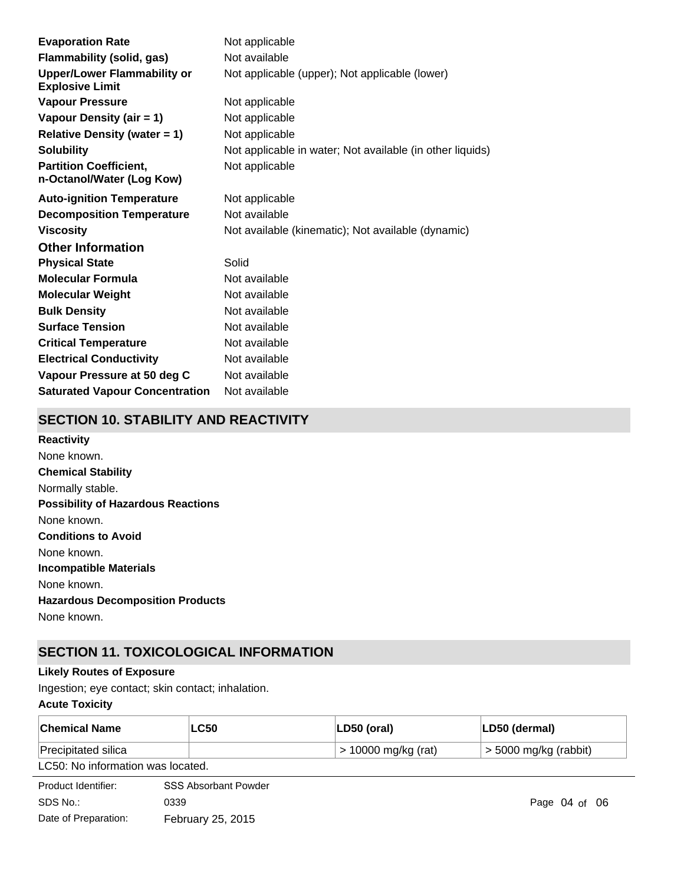| <b>Evaporation Rate</b>                                      | Not applicable                                            |
|--------------------------------------------------------------|-----------------------------------------------------------|
| <b>Flammability (solid, gas)</b>                             | Not available                                             |
| <b>Upper/Lower Flammability or</b><br><b>Explosive Limit</b> | Not applicable (upper); Not applicable (lower)            |
| <b>Vapour Pressure</b>                                       | Not applicable                                            |
| Vapour Density (air = 1)                                     | Not applicable                                            |
| <b>Relative Density (water = 1)</b>                          | Not applicable                                            |
| <b>Solubility</b>                                            | Not applicable in water; Not available (in other liquids) |
| <b>Partition Coefficient,</b><br>n-Octanol/Water (Log Kow)   | Not applicable                                            |
| <b>Auto-ignition Temperature</b>                             | Not applicable                                            |
| <b>Decomposition Temperature</b>                             | Not available                                             |
| <b>Viscosity</b>                                             | Not available (kinematic); Not available (dynamic)        |
| <b>Other Information</b>                                     |                                                           |
| <b>Physical State</b>                                        | Solid                                                     |
| <b>Molecular Formula</b>                                     | Not available                                             |
| <b>Molecular Weight</b>                                      | Not available                                             |
| <b>Bulk Density</b>                                          | Not available                                             |
| <b>Surface Tension</b>                                       | Not available                                             |
| <b>Critical Temperature</b>                                  | Not available                                             |
| <b>Electrical Conductivity</b>                               | Not available                                             |
| Vapour Pressure at 50 deg C                                  | Not available                                             |
| <b>Saturated Vapour Concentration</b>                        | Not available                                             |

# **SECTION 10. STABILITY AND REACTIVITY**

**Chemical Stability** Normally stable. **Conditions to Avoid** None known. **Incompatible Materials** None known. **Hazardous Decomposition Products** None known. **Possibility of Hazardous Reactions** None known. **Reactivity** None known.

# **SECTION 11. TOXICOLOGICAL INFORMATION**

## **Likely Routes of Exposure**

Ingestion; eye contact; skin contact; inhalation.

## **Acute Toxicity**

| <b>Chemical Name</b>              | <b>LC50</b> | LD50 (oral)           | ∣LD50 (dermal)          |  |  |
|-----------------------------------|-------------|-----------------------|-------------------------|--|--|
| Precipitated silica               |             | $>$ 10000 mg/kg (rat) | $>$ 5000 mg/kg (rabbit) |  |  |
| LC50: No information was located. |             |                       |                         |  |  |
| ________                          |             |                       |                         |  |  |

| Product Identifier:  | <b>SSS Absorbant Powder</b> |
|----------------------|-----------------------------|
| SDS No.:             | 0339                        |
| Date of Preparation: | February 25, 2015           |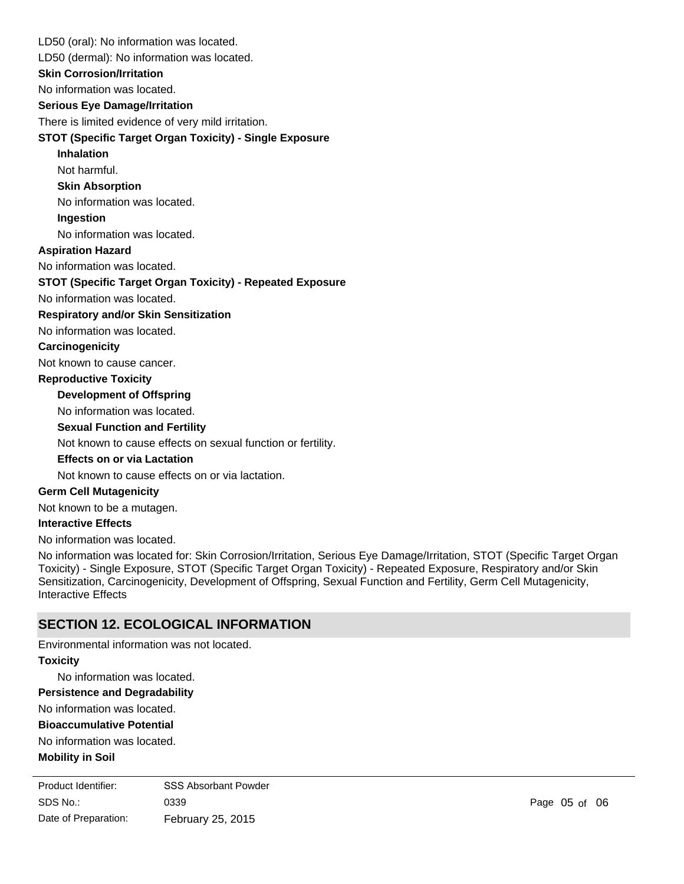LD50 (oral): No information was located.

LD50 (dermal): No information was located.

**Skin Corrosion/Irritation**

No information was located.

## **Serious Eye Damage/Irritation**

There is limited evidence of very mild irritation.

## **STOT (Specific Target Organ Toxicity) - Single Exposure**

**Inhalation**

Not harmful.

## **Skin Absorption**

No information was located.

# **Ingestion**

No information was located.

## **Aspiration Hazard**

No information was located.

## **STOT (Specific Target Organ Toxicity) - Repeated Exposure**

No information was located.

#### **Respiratory and/or Skin Sensitization**

No information was located.

## **Carcinogenicity**

Not known to cause cancer.

## **Reproductive Toxicity**

## **Development of Offspring**

No information was located.

## **Sexual Function and Fertility**

Not known to cause effects on sexual function or fertility.

## **Effects on or via Lactation**

Not known to cause effects on or via lactation.

## **Germ Cell Mutagenicity**

Not known to be a mutagen.

## **Interactive Effects**

No information was located.

No information was located for: Skin Corrosion/Irritation, Serious Eye Damage/Irritation, STOT (Specific Target Organ Toxicity) - Single Exposure, STOT (Specific Target Organ Toxicity) - Repeated Exposure, Respiratory and/or Skin Sensitization, Carcinogenicity, Development of Offspring, Sexual Function and Fertility, Germ Cell Mutagenicity, Interactive Effects

## **SECTION 12. ECOLOGICAL INFORMATION**

Environmental information was not located.

## **Toxicity**

No information was located.

## **Persistence and Degradability**

No information was located.

## **Bioaccumulative Potential**

No information was located.

## **Mobility in Soil**

No information was located. SDS No.: Date of Preparation: 0339 Page of 0605 February 25, 2015 Product Identifier: SSS Absorbant Powder